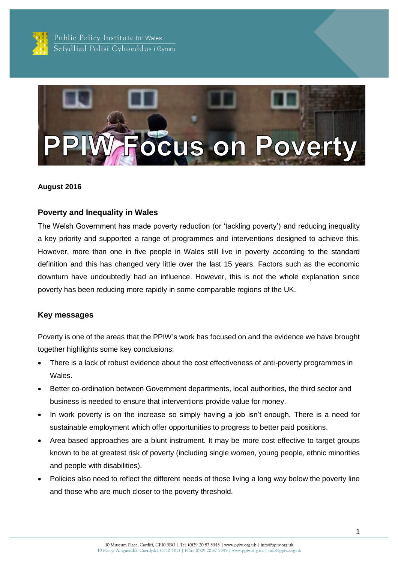

Public Policy Institute for Wales Sefydliad Polisi Cyhoeddus i Gymru



#### **August 2016**

#### **Poverty and Inequality in Wales**

The Welsh Government has made poverty reduction (or 'tackling poverty') and reducing inequality a key priority and supported a range of programmes and interventions designed to achieve this. However, more than one in five people in Wales still live in poverty according to the standard definition and this has changed very little over the last 15 years. Factors such as the economic downturn have undoubtedly had an influence. However, this is not the whole explanation since poverty has been reducing more rapidly in some comparable regions of the UK.

#### **Key messages**

Poverty is one of the areas that the PPIW's work has focused on and the evidence we have brought together highlights some key conclusions:

- There is a lack of robust evidence about the cost effectiveness of anti-poverty programmes in Wales.
- Better co-ordination between Government departments, local authorities, the third sector and business is needed to ensure that interventions provide value for money.
- In work poverty is on the increase so simply having a job isn't enough. There is a need for sustainable employment which offer opportunities to progress to better paid positions.
- Area based approaches are a blunt instrument. It may be more cost effective to target groups known to be at greatest risk of poverty (including single women, young people, ethnic minorities and people with disabilities).
- Policies also need to reflect the different needs of those living a long way below the poverty line and those who are much closer to the poverty threshold.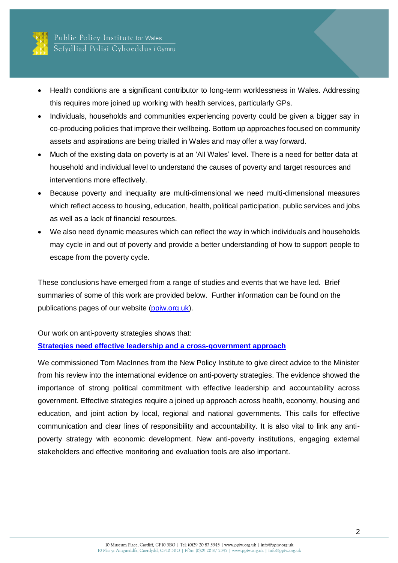

- Health conditions are a significant contributor to long-term worklessness in Wales. Addressing this requires more joined up working with health services, particularly GPs.
- Individuals, households and communities experiencing poverty could be given a bigger say in co-producing policies that improve their wellbeing. Bottom up approaches focused on community assets and aspirations are being trialled in Wales and may offer a way forward.
- Much of the existing data on poverty is at an 'All Wales' level. There is a need for better data at household and individual level to understand the causes of poverty and target resources and interventions more effectively.
- Because poverty and inequality are multi-dimensional we need multi-dimensional measures which reflect access to housing, education, health, political participation, public services and jobs as well as a lack of financial resources.
- We also need dynamic measures which can reflect the way in which individuals and households may cycle in and out of poverty and provide a better understanding of how to support people to escape from the poverty cycle.

These conclusions have emerged from a range of studies and events that we have led. Brief summaries of some of this work are provided below. Further information can be found on the publications pages of our website [\(ppiw.org.uk\)](http://ppiw.org.uk/).

Our work on anti-poverty strategies shows that:

## **[Strategies need effective leadership and a cross-government approach](http://npi.org.uk/files/1614/0049/6859/International_and_historical_antipoverty_strategies_evidence_and_policy_review.pdf)**

We commissioned Tom MacInnes from the New Policy Institute to give direct advice to the Minister from his review into the international evidence on anti-poverty strategies. The evidence showed the importance of strong political commitment with effective leadership and accountability across government. Effective strategies require a joined up approach across health, economy, housing and education, and joint action by local, regional and national governments. This calls for effective communication and clear lines of responsibility and accountability. It is also vital to link any antipoverty strategy with economic development. New anti-poverty institutions, engaging external stakeholders and effective monitoring and evaluation tools are also important.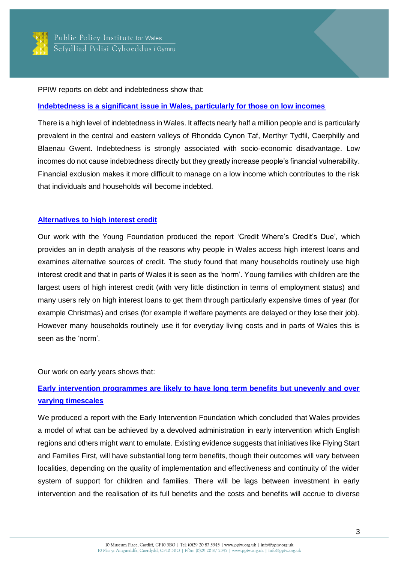

PPIW reports on debt and indebtedness show that:

#### **[Indebtedness is a significant issue in Wales, particularly for those on low incomes](http://ppiw.org.uk/files/2014/01/Indebtedness-in-Wales1.pdf)**

There is a high level of indebtedness in Wales. It affects nearly half a million people and is particularly prevalent in the central and eastern valleys of Rhondda Cynon Taf, Merthyr Tydfil, Caerphilly and Blaenau Gwent. Indebtedness is strongly associated with socio-economic disadvantage. Low incomes do not cause indebtedness directly but they greatly increase people's financial vulnerability. Financial exclusion makes it more difficult to manage on a low income which contributes to the risk that individuals and households will become indebted.

## **[Alternatives to high interest credit](http://youngfoundation.org/wp-content/uploads/2016/05/Summary-Report-VFinal3.pdf)**

Our work with the Young Foundation produced the report 'Credit Where's Credit's Due', which provides an in depth analysis of the reasons why people in Wales access high interest loans and examines alternative sources of credit. The study found that many households routinely use high interest credit and that in parts of Wales it is seen as the 'norm'. Young families with children are the largest users of high interest credit (with very little distinction in terms of employment status) and many users rely on high interest loans to get them through particularly expensive times of year (for example Christmas) and crises (for example if welfare payments are delayed or they lose their job). However many households routinely use it for everyday living costs and in parts of Wales this is seen as the 'norm'.

Our work on early years shows that:

# **[Early intervention programmes are likely to have long term benefits but unevenly and over](http://ppiw.org.uk/files/2014/10/PPIW-Report-Quantifying-the-benefits-of-early-intervention.pdf)  [varying timescales](http://ppiw.org.uk/files/2014/10/PPIW-Report-Quantifying-the-benefits-of-early-intervention.pdf)**

We produced a report with the Early Intervention Foundation which concluded that Wales provides a model of what can be achieved by a devolved administration in early intervention which English regions and others might want to emulate. Existing evidence suggests that initiatives like Flying Start and Families First, will have substantial long term benefits, though their outcomes will vary between localities, depending on the quality of implementation and effectiveness and continuity of the wider system of support for children and families. There will be lags between investment in early intervention and the realisation of its full benefits and the costs and benefits will accrue to diverse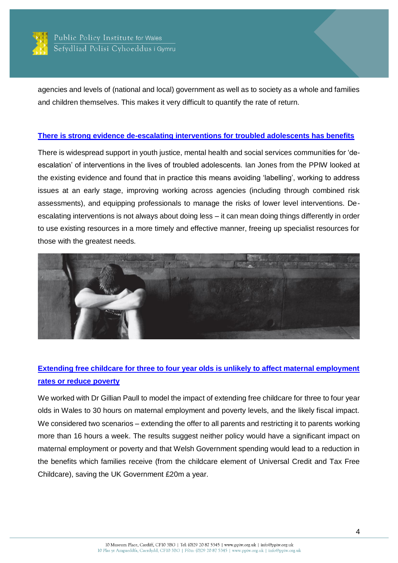

agencies and levels of (national and local) government as well as to society as a whole and families and children themselves. This makes it very difficult to quantify the rate of return.

#### **[There is strong evidence de-escalating interventions for troubled adolescents has benefits](http://ppiw.org.uk/files/2016/05/PPIW-Report-De-escalating-Interventions-for-Troubled-Adolescents.pdf)**

There is widespread support in youth justice, mental health and social services communities for 'deescalation' of interventions in the lives of troubled adolescents. Ian Jones from the PPIW looked at the existing evidence and found that in practice this means avoiding 'labelling', working to address issues at an early stage, improving working across agencies (including through combined risk assessments), and equipping professionals to manage the risks of lower level interventions. Deescalating interventions is not always about doing less – it can mean doing things differently in order to use existing resources in a more timely and effective manner, freeing up specialist resources for those with the greatest needs.



# **[Extending free childcare for three to four year olds is unlikely to affect maternal employment](http://ppiw.org.uk/files/2016/02/Childcare-Policy-Options-for-Wales.pdf)  [rates or reduce poverty](http://ppiw.org.uk/files/2016/02/Childcare-Policy-Options-for-Wales.pdf)**

We worked with Dr Gillian Paull to model the impact of extending free childcare for three to four year olds in Wales to 30 hours on maternal employment and poverty levels, and the likely fiscal impact. We considered two scenarios – extending the offer to all parents and restricting it to parents working more than 16 hours a week. The results suggest neither policy would have a significant impact on maternal employment or poverty and that Welsh Government spending would lead to a reduction in the benefits which families receive (from the childcare element of Universal Credit and Tax Free Childcare), saving the UK Government £20m a year.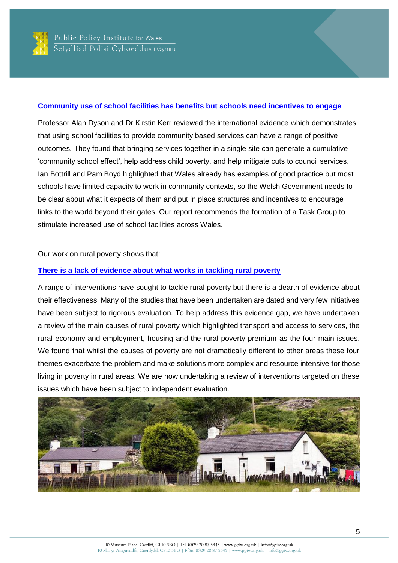

### **[Community use of school facilities has benefits but schools need incentives to engage](http://ppiw.org.uk/files/2016/04/Increasing-the-Use-of-School-Facilities-Report.pdf)**

Professor Alan Dyson and Dr Kirstin Kerr reviewed the international evidence which demonstrates that using school facilities to provide community based services can have a range of positive outcomes. They found that bringing services together in a single site can generate a cumulative 'community school effect', help address child poverty, and help mitigate cuts to council services. Ian Bottrill and Pam Boyd highlighted that Wales already has examples of good practice but most schools have limited capacity to work in community contexts, so the Welsh Government needs to be clear about what it expects of them and put in place structures and incentives to encourage links to the world beyond their gates. Our report recommends the formation of a Task Group to stimulate increased use of school facilities across Wales.

Our work on rural poverty shows that:

## **[There is a lack of evidence about what works in tackling rural poverty](http://ppiw.org.uk/files/2016/06/An-introduction-to-Rural-Poverty.pdf)**

A range of interventions have sought to tackle rural poverty but there is a dearth of evidence about their effectiveness. Many of the studies that have been undertaken are dated and very few initiatives have been subject to rigorous evaluation. To help address this evidence gap, we have undertaken a review of the main causes of rural poverty which highlighted transport and access to services, the rural economy and employment, housing and the rural poverty premium as the four main issues. We found that whilst the causes of poverty are not dramatically different to other areas these four themes exacerbate the problem and make solutions more complex and resource intensive for those living in poverty in rural areas. We are now undertaking a review of interventions targeted on these issues which have been subject to independent evaluation.